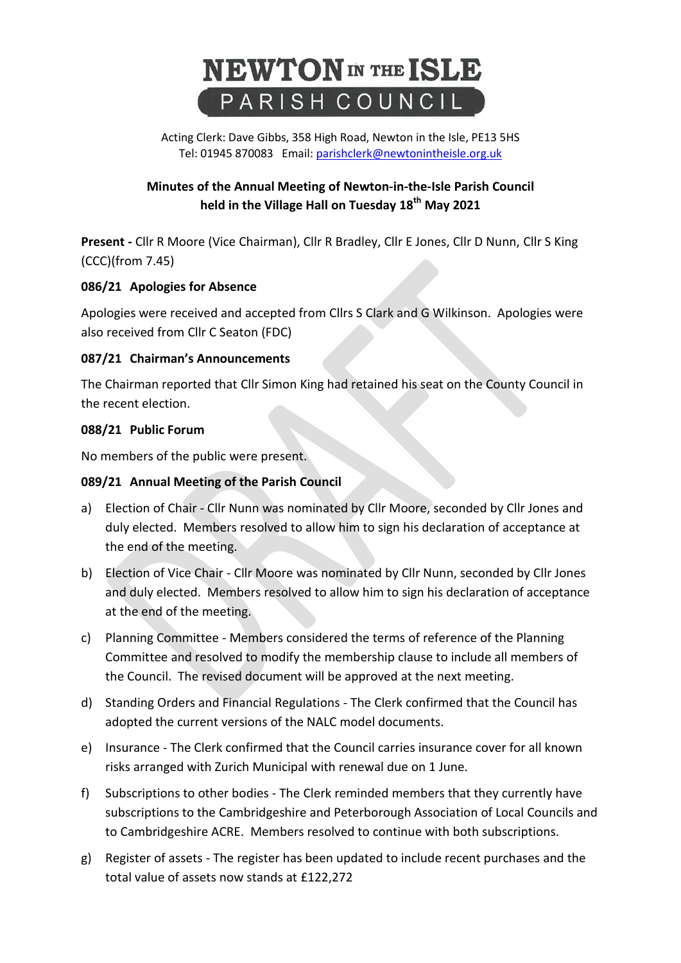# **NEWTON** IN THE ISLE PARISH COUNCIL

Acting Clerk: Dave Gibbs, 358 High Road, Newton in the Isle, PE13 5HS Tel: 01945 870083 Email: [parishclerk@newtonintheisle.org.uk](mailto:parishclerk@newtonintheisle.org.uk)

# **Minutes of the Annual Meeting of Newton-in-the-Isle Parish Council held in the Village Hall on Tuesday 18th May 2021**

**Present -** Cllr R Moore (Vice Chairman), Cllr R Bradley, Cllr E Jones, Cllr D Nunn, Cllr S King (CCC)(from 7.45)

# **086/21 Apologies for Absence**

Apologies were received and accepted from Cllrs S Clark and G Wilkinson. Apologies were also received from Cllr C Seaton (FDC)

# **087/21 Chairman's Announcements**

The Chairman reported that Cllr Simon King had retained his seat on the County Council in the recent election.

#### **088/21 Public Forum**

No members of the public were present.

#### **089/21 Annual Meeting of the Parish Council**

- a) Election of Chair Cllr Nunn was nominated by Cllr Moore, seconded by Cllr Jones and duly elected. Members resolved to allow him to sign his declaration of acceptance at the end of the meeting.
- b) Election of Vice Chair Cllr Moore was nominated by Cllr Nunn, seconded by Cllr Jones and duly elected. Members resolved to allow him to sign his declaration of acceptance at the end of the meeting.
- c) Planning Committee Members considered the terms of reference of the Planning Committee and resolved to modify the membership clause to include all members of the Council. The revised document will be approved at the next meeting.
- d) Standing Orders and Financial Regulations The Clerk confirmed that the Council has adopted the current versions of the NALC model documents.
- e) Insurance The Clerk confirmed that the Council carries insurance cover for all known risks arranged with Zurich Municipal with renewal due on 1 June.
- f) Subscriptions to other bodies The Clerk reminded members that they currently have subscriptions to the Cambridgeshire and Peterborough Association of Local Councils and to Cambridgeshire ACRE. Members resolved to continue with both subscriptions.
- g) Register of assets The register has been updated to include recent purchases and the total value of assets now stands at £122,272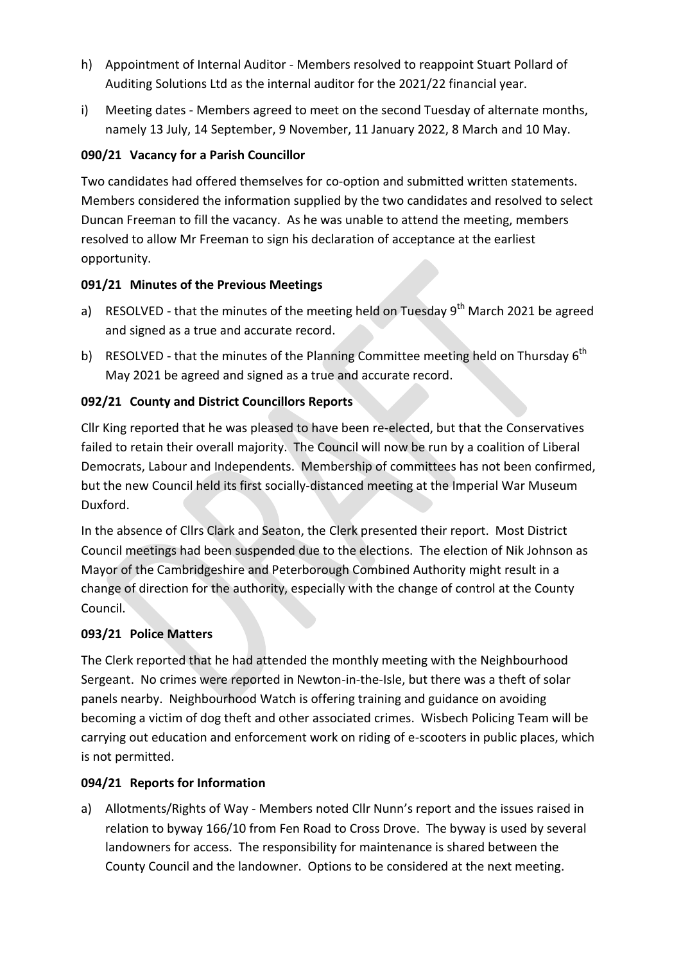- h) Appointment of Internal Auditor Members resolved to reappoint Stuart Pollard of Auditing Solutions Ltd as the internal auditor for the 2021/22 financial year.
- i) Meeting dates Members agreed to meet on the second Tuesday of alternate months, namely 13 July, 14 September, 9 November, 11 January 2022, 8 March and 10 May.

# **090/21 Vacancy for a Parish Councillor**

Two candidates had offered themselves for co-option and submitted written statements. Members considered the information supplied by the two candidates and resolved to select Duncan Freeman to fill the vacancy. As he was unable to attend the meeting, members resolved to allow Mr Freeman to sign his declaration of acceptance at the earliest opportunity.

# **091/21 Minutes of the Previous Meetings**

- a) RESOLVED that the minutes of the meeting held on Tuesday 9<sup>th</sup> March 2021 be agreed and signed as a true and accurate record.
- b) RESOLVED that the minutes of the Planning Committee meeting held on Thursday 6<sup>th</sup> May 2021 be agreed and signed as a true and accurate record.

# **092/21 County and District Councillors Reports**

Cllr King reported that he was pleased to have been re-elected, but that the Conservatives failed to retain their overall majority. The Council will now be run by a coalition of Liberal Democrats, Labour and Independents. Membership of committees has not been confirmed, but the new Council held its first socially-distanced meeting at the Imperial War Museum Duxford.

In the absence of Cllrs Clark and Seaton, the Clerk presented their report. Most District Council meetings had been suspended due to the elections. The election of Nik Johnson as Mayor of the Cambridgeshire and Peterborough Combined Authority might result in a change of direction for the authority, especially with the change of control at the County Council.

# **093/21 Police Matters**

The Clerk reported that he had attended the monthly meeting with the Neighbourhood Sergeant. No crimes were reported in Newton-in-the-Isle, but there was a theft of solar panels nearby. Neighbourhood Watch is offering training and guidance on avoiding becoming a victim of dog theft and other associated crimes. Wisbech Policing Team will be carrying out education and enforcement work on riding of e-scooters in public places, which is not permitted.

# **094/21 Reports for Information**

a) Allotments/Rights of Way - Members noted Cllr Nunn's report and the issues raised in relation to byway 166/10 from Fen Road to Cross Drove. The byway is used by several landowners for access. The responsibility for maintenance is shared between the County Council and the landowner. Options to be considered at the next meeting.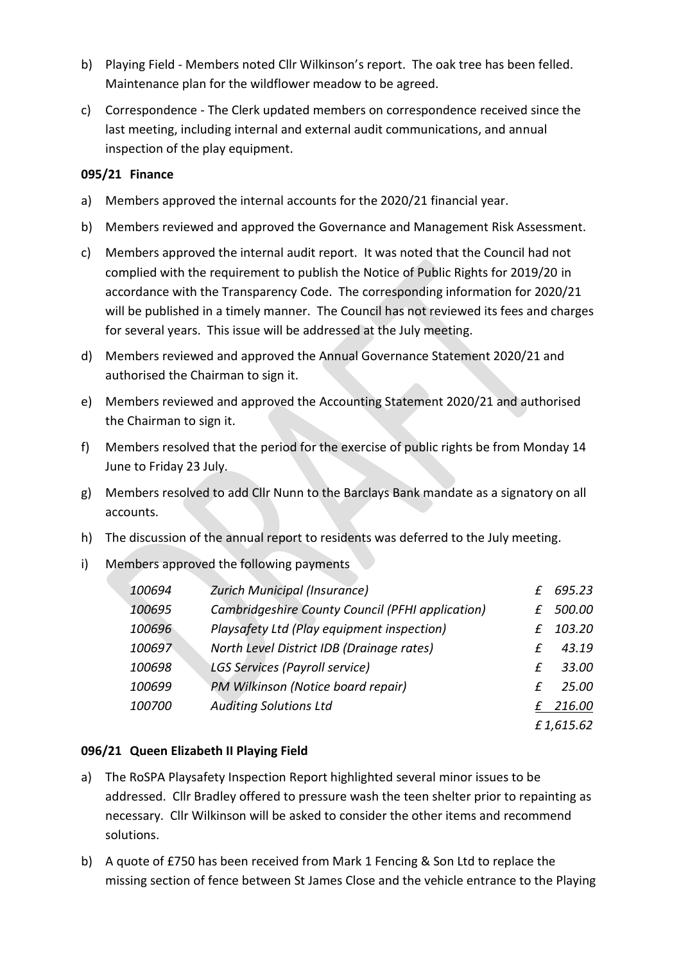- b) Playing Field Members noted Cllr Wilkinson's report. The oak tree has been felled. Maintenance plan for the wildflower meadow to be agreed.
- c) Correspondence The Clerk updated members on correspondence received since the last meeting, including internal and external audit communications, and annual inspection of the play equipment.

#### **095/21 Finance**

- a) Members approved the internal accounts for the 2020/21 financial year.
- b) Members reviewed and approved the Governance and Management Risk Assessment.
- c) Members approved the internal audit report. It was noted that the Council had not complied with the requirement to publish the Notice of Public Rights for 2019/20 in accordance with the Transparency Code. The corresponding information for 2020/21 will be published in a timely manner. The Council has not reviewed its fees and charges for several years. This issue will be addressed at the July meeting.
- d) Members reviewed and approved the Annual Governance Statement 2020/21 and authorised the Chairman to sign it.
- e) Members reviewed and approved the Accounting Statement 2020/21 and authorised the Chairman to sign it.
- f) Members resolved that the period for the exercise of public rights be from Monday 14 June to Friday 23 July.
- g) Members resolved to add Cllr Nunn to the Barclays Bank mandate as a signatory on all accounts.
- h) The discussion of the annual report to residents was deferred to the July meeting.
- i) Members approved the following payments

| 100694 | <b>Zurich Municipal (Insurance)</b>              | £. | 695.23    |
|--------|--------------------------------------------------|----|-----------|
| 100695 | Cambridgeshire County Council (PFHI application) | £  | 500.00    |
| 100696 | Playsafety Ltd (Play equipment inspection)       | f. | 103.20    |
| 100697 | North Level District IDB (Drainage rates)        | f  | 43.19     |
| 100698 | LGS Services (Payroll service)                   | £  | 33.00     |
| 100699 | PM Wilkinson (Notice board repair)               | f. | 25.00     |
| 100700 | <b>Auditing Solutions Ltd</b>                    |    | 216.00    |
|        |                                                  |    | £1,615.62 |

#### **096/21 Queen Elizabeth II Playing Field**

- a) The RoSPA Playsafety Inspection Report highlighted several minor issues to be addressed. Cllr Bradley offered to pressure wash the teen shelter prior to repainting as necessary. Cllr Wilkinson will be asked to consider the other items and recommend solutions.
- b) A quote of £750 has been received from Mark 1 Fencing & Son Ltd to replace the missing section of fence between St James Close and the vehicle entrance to the Playing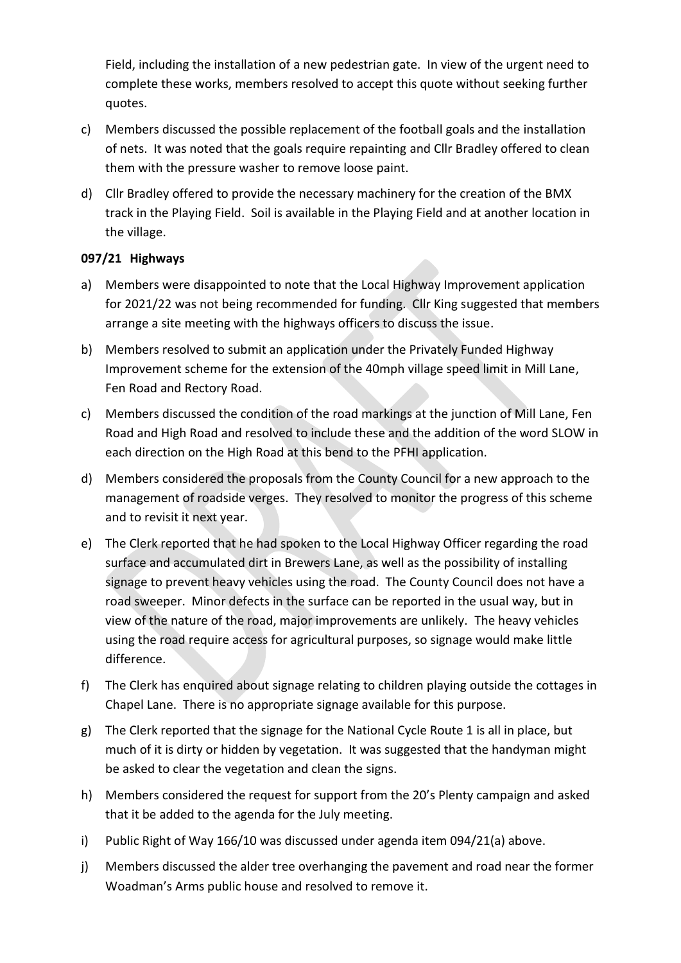Field, including the installation of a new pedestrian gate. In view of the urgent need to complete these works, members resolved to accept this quote without seeking further quotes.

- c) Members discussed the possible replacement of the football goals and the installation of nets. It was noted that the goals require repainting and Cllr Bradley offered to clean them with the pressure washer to remove loose paint.
- d) Cllr Bradley offered to provide the necessary machinery for the creation of the BMX track in the Playing Field. Soil is available in the Playing Field and at another location in the village.

#### **097/21 Highways**

- a) Members were disappointed to note that the Local Highway Improvement application for 2021/22 was not being recommended for funding. Cllr King suggested that members arrange a site meeting with the highways officers to discuss the issue.
- b) Members resolved to submit an application under the Privately Funded Highway Improvement scheme for the extension of the 40mph village speed limit in Mill Lane, Fen Road and Rectory Road.
- c) Members discussed the condition of the road markings at the junction of Mill Lane, Fen Road and High Road and resolved to include these and the addition of the word SLOW in each direction on the High Road at this bend to the PFHI application.
- d) Members considered the proposals from the County Council for a new approach to the management of roadside verges. They resolved to monitor the progress of this scheme and to revisit it next year.
- e) The Clerk reported that he had spoken to the Local Highway Officer regarding the road surface and accumulated dirt in Brewers Lane, as well as the possibility of installing signage to prevent heavy vehicles using the road. The County Council does not have a road sweeper. Minor defects in the surface can be reported in the usual way, but in view of the nature of the road, major improvements are unlikely. The heavy vehicles using the road require access for agricultural purposes, so signage would make little difference.
- f) The Clerk has enquired about signage relating to children playing outside the cottages in Chapel Lane. There is no appropriate signage available for this purpose.
- g) The Clerk reported that the signage for the National Cycle Route 1 is all in place, but much of it is dirty or hidden by vegetation. It was suggested that the handyman might be asked to clear the vegetation and clean the signs.
- h) Members considered the request for support from the 20's Plenty campaign and asked that it be added to the agenda for the July meeting.
- i) Public Right of Way 166/10 was discussed under agenda item 094/21(a) above.
- j) Members discussed the alder tree overhanging the pavement and road near the former Woadman's Arms public house and resolved to remove it.